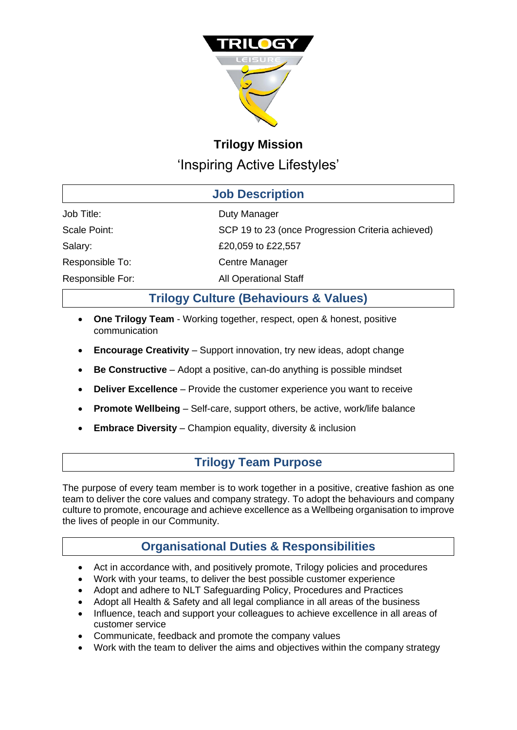

# **Trilogy Mission** 'Inspiring Active Lifestyles'

| <b>Job Description</b> |                                                   |  |  |  |
|------------------------|---------------------------------------------------|--|--|--|
| Job Title:             | Duty Manager                                      |  |  |  |
| Scale Point:           | SCP 19 to 23 (once Progression Criteria achieved) |  |  |  |
| Salary:                | £20,059 to £22,557                                |  |  |  |
| Responsible To:        | <b>Centre Manager</b>                             |  |  |  |
| Responsible For:       | <b>All Operational Staff</b>                      |  |  |  |

# **Trilogy Culture (Behaviours & Values)**

- **One Trilogy Team**  Working together, respect, open & honest, positive communication
- **Encourage Creativity** Support innovation, try new ideas, adopt change
- **Be Constructive**  Adopt a positive, can-do anything is possible mindset
- **Deliver Excellence** Provide the customer experience you want to receive
- **Promote Wellbeing**  Self-care, support others, be active, work/life balance
- **Embrace Diversity**  Champion equality, diversity & inclusion

# **Trilogy Team Purpose**

The purpose of every team member is to work together in a positive, creative fashion as one team to deliver the core values and company strategy. To adopt the behaviours and company culture to promote, encourage and achieve excellence as a Wellbeing organisation to improve the lives of people in our Community.

# **Organisational Duties & Responsibilities**

- Act in accordance with, and positively promote, Trilogy policies and procedures
- Work with your teams, to deliver the best possible customer experience
- Adopt and adhere to NLT Safeguarding Policy, Procedures and Practices
- Adopt all Health & Safety and all legal compliance in all areas of the business
- Influence, teach and support your colleagues to achieve excellence in all areas of customer service
- Communicate, feedback and promote the company values
- Work with the team to deliver the aims and objectives within the company strategy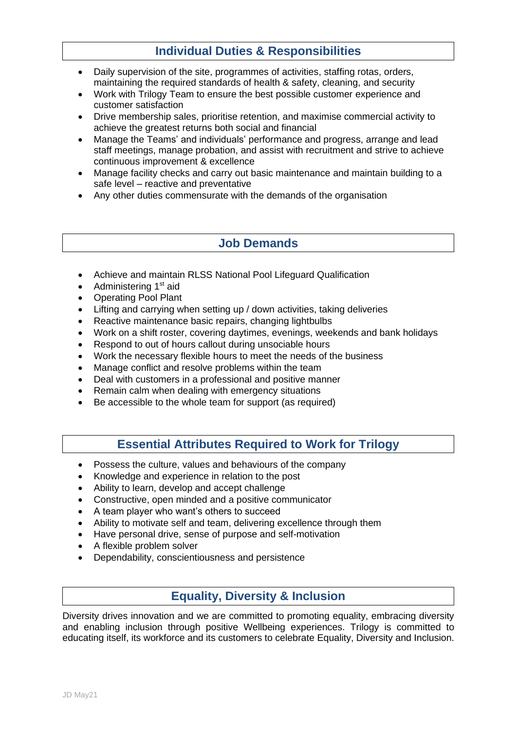## **Individual Duties & Responsibilities**

- Daily supervision of the site, programmes of activities, staffing rotas, orders, maintaining the required standards of health & safety, cleaning, and security
- Work with Trilogy Team to ensure the best possible customer experience and customer satisfaction
- Drive membership sales, prioritise retention, and maximise commercial activity to achieve the greatest returns both social and financial
- Manage the Teams' and individuals' performance and progress, arrange and lead staff meetings, manage probation, and assist with recruitment and strive to achieve continuous improvement & excellence
- Manage facility checks and carry out basic maintenance and maintain building to a safe level – reactive and preventative
- Any other duties commensurate with the demands of the organisation

### **Job Demands**

- Achieve and maintain RLSS National Pool Lifeguard Qualification
- Administering  $1<sup>st</sup>$  aid
- Operating Pool Plant
- Lifting and carrying when setting up / down activities, taking deliveries
- Reactive maintenance basic repairs, changing lightbulbs
- Work on a shift roster, covering daytimes, evenings, weekends and bank holidays
- Respond to out of hours callout during unsociable hours
- Work the necessary flexible hours to meet the needs of the business
- Manage conflict and resolve problems within the team
- Deal with customers in a professional and positive manner
- Remain calm when dealing with emergency situations
- Be accessible to the whole team for support (as required)

### **Essential Attributes Required to Work for Trilogy**

- Possess the culture, values and behaviours of the company
- Knowledge and experience in relation to the post
- Ability to learn, develop and accept challenge
- Constructive, open minded and a positive communicator
- A team player who want's others to succeed
- Ability to motivate self and team, delivering excellence through them
- Have personal drive, sense of purpose and self-motivation
- A flexible problem solver
- Dependability, conscientiousness and persistence

# **Equality, Diversity & Inclusion**

Diversity drives innovation and we are committed to promoting equality, embracing diversity and enabling inclusion through positive Wellbeing experiences. Trilogy is committed to educating itself, its workforce and its customers to celebrate Equality, Diversity and Inclusion.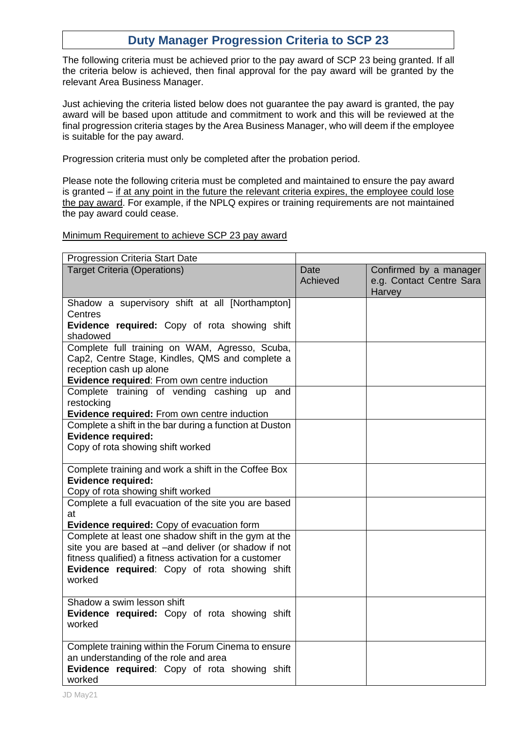# **Duty Manager Progression Criteria to SCP 23**

The following criteria must be achieved prior to the pay award of SCP 23 being granted. If all the criteria below is achieved, then final approval for the pay award will be granted by the relevant Area Business Manager.

Just achieving the criteria listed below does not guarantee the pay award is granted, the pay award will be based upon attitude and commitment to work and this will be reviewed at the final progression criteria stages by the Area Business Manager, who will deem if the employee is suitable for the pay award.

Progression criteria must only be completed after the probation period.

Please note the following criteria must be completed and maintained to ensure the pay award is granted – if at any point in the future the relevant criteria expires, the employee could lose the pay award. For example, if the NPLQ expires or training requirements are not maintained the pay award could cease.

#### Minimum Requirement to achieve SCP 23 pay award

| Progression Criteria Start Date                         |                  |                                                              |
|---------------------------------------------------------|------------------|--------------------------------------------------------------|
| <b>Target Criteria (Operations)</b>                     | Date<br>Achieved | Confirmed by a manager<br>e.g. Contact Centre Sara<br>Harvey |
| Shadow a supervisory shift at all [Northampton]         |                  |                                                              |
| Centres                                                 |                  |                                                              |
| Evidence required: Copy of rota showing shift           |                  |                                                              |
| shadowed                                                |                  |                                                              |
| Complete full training on WAM, Agresso, Scuba,          |                  |                                                              |
| Cap2, Centre Stage, Kindles, QMS and complete a         |                  |                                                              |
| reception cash up alone                                 |                  |                                                              |
| Evidence required: From own centre induction            |                  |                                                              |
| Complete training of vending cashing up and             |                  |                                                              |
| restocking                                              |                  |                                                              |
| Evidence required: From own centre induction            |                  |                                                              |
| Complete a shift in the bar during a function at Duston |                  |                                                              |
| <b>Evidence required:</b>                               |                  |                                                              |
| Copy of rota showing shift worked                       |                  |                                                              |
|                                                         |                  |                                                              |
| Complete training and work a shift in the Coffee Box    |                  |                                                              |
| <b>Evidence required:</b>                               |                  |                                                              |
| Copy of rota showing shift worked                       |                  |                                                              |
| Complete a full evacuation of the site you are based    |                  |                                                              |
| at                                                      |                  |                                                              |
| Evidence required: Copy of evacuation form              |                  |                                                              |
| Complete at least one shadow shift in the gym at the    |                  |                                                              |
| site you are based at -and deliver (or shadow if not    |                  |                                                              |
| fitness qualified) a fitness activation for a customer  |                  |                                                              |
| Evidence required: Copy of rota showing shift           |                  |                                                              |
| worked                                                  |                  |                                                              |
|                                                         |                  |                                                              |
| Shadow a swim lesson shift                              |                  |                                                              |
| Evidence required: Copy of rota showing shift           |                  |                                                              |
| worked                                                  |                  |                                                              |
|                                                         |                  |                                                              |
| Complete training within the Forum Cinema to ensure     |                  |                                                              |
| an understanding of the role and area                   |                  |                                                              |
| Evidence required: Copy of rota showing shift           |                  |                                                              |
| worked                                                  |                  |                                                              |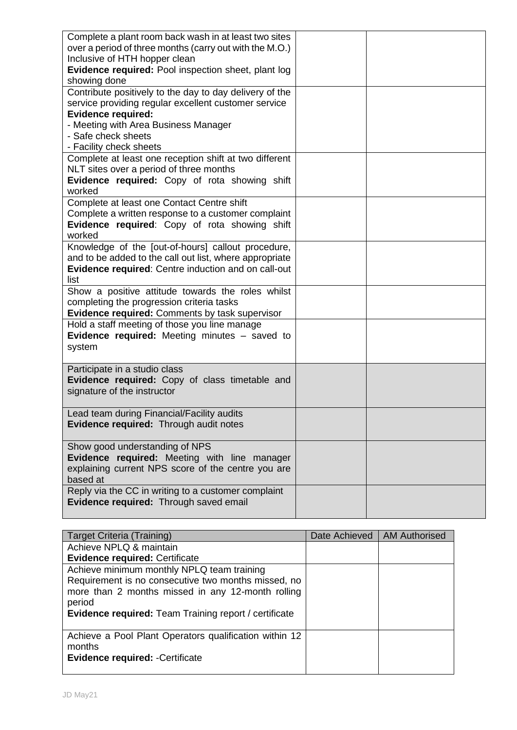| Complete a plant room back wash in at least two sites   |  |
|---------------------------------------------------------|--|
| over a period of three months (carry out with the M.O.) |  |
| Inclusive of HTH hopper clean                           |  |
| Evidence required: Pool inspection sheet, plant log     |  |
| showing done                                            |  |
| Contribute positively to the day to day delivery of the |  |
| service providing regular excellent customer service    |  |
| <b>Evidence required:</b>                               |  |
| - Meeting with Area Business Manager                    |  |
| - Safe check sheets                                     |  |
| - Facility check sheets                                 |  |
| Complete at least one reception shift at two different  |  |
| NLT sites over a period of three months                 |  |
| Evidence required: Copy of rota showing shift           |  |
| worked                                                  |  |
| Complete at least one Contact Centre shift              |  |
| Complete a written response to a customer complaint     |  |
| Evidence required: Copy of rota showing shift           |  |
| worked                                                  |  |
| Knowledge of the [out-of-hours] callout procedure,      |  |
| and to be added to the call out list, where appropriate |  |
| Evidence required: Centre induction and on call-out     |  |
| list                                                    |  |
| Show a positive attitude towards the roles whilst       |  |
| completing the progression criteria tasks               |  |
| <b>Evidence required: Comments by task supervisor</b>   |  |
| Hold a staff meeting of those you line manage           |  |
| <b>Evidence required:</b> Meeting minutes – saved to    |  |
| system                                                  |  |
|                                                         |  |
| Participate in a studio class                           |  |
| Evidence required: Copy of class timetable and          |  |
| signature of the instructor                             |  |
|                                                         |  |
| Lead team during Financial/Facility audits              |  |
| Evidence required: Through audit notes                  |  |
|                                                         |  |
| Show good understanding of NPS                          |  |
| Evidence required: Meeting with line manager            |  |
| explaining current NPS score of the centre you are      |  |
| based at                                                |  |
| Reply via the CC in writing to a customer complaint     |  |
| Evidence required: Through saved email                  |  |
|                                                         |  |

| Target Criteria (Training)                                   | Date Achieved   AM Authorised |
|--------------------------------------------------------------|-------------------------------|
| Achieve NPLQ & maintain                                      |                               |
| <b>Evidence required: Certificate</b>                        |                               |
| Achieve minimum monthly NPLQ team training                   |                               |
| Requirement is no consecutive two months missed, no          |                               |
| more than 2 months missed in any 12-month rolling            |                               |
| period                                                       |                               |
| <b>Evidence required:</b> Team Training report / certificate |                               |
|                                                              |                               |
| Achieve a Pool Plant Operators qualification within 12       |                               |
| months                                                       |                               |
| <b>Evidence required: - Certificate</b>                      |                               |
|                                                              |                               |